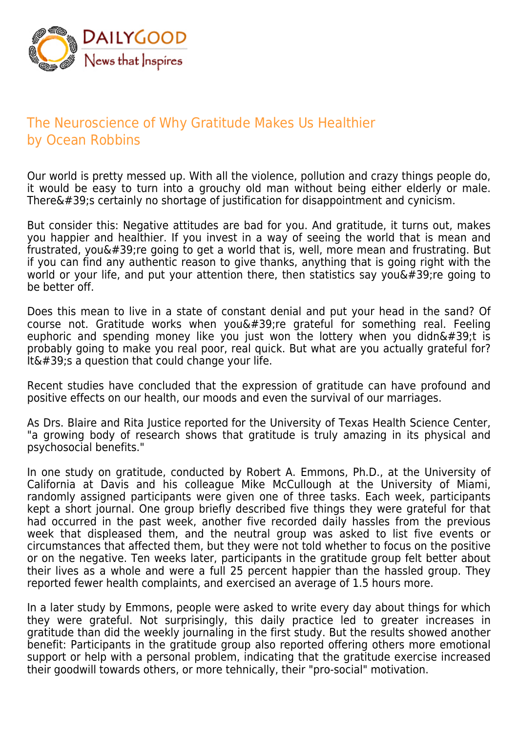

## The Neuroscience of Why Gratitude Makes Us Healthier by Ocean Robbins

Our world is pretty messed up. With all the violence, pollution and crazy things people do, it would be easy to turn into a grouchy old man without being either elderly or male. There $'$ ; certainly no shortage of justification for disappointment and cynicism.

But consider this: Negative attitudes are bad for you. And gratitude, it turns out, makes you happier and healthier. If you invest in a way of seeing the world that is mean and frustrated, you $\&\#39$ ; re going to get a world that is, well, more mean and frustrating. But if you can find any authentic reason to give thanks, anything that is going right with the world or your life, and put your attention there, then statistics say you  $\&\#39$ ; re going to be better off.

Does this mean to live in a state of constant denial and put your head in the sand? Of course not. Gratitude works when you $\&\#39$ ; re grateful for something real. Feeling euphoric and spending money like you just won the lottery when you didn't is probably going to make you real poor, real quick. But what are you actually grateful for? It' s a question that could change your life.

Recent studies have concluded that the expression of gratitude can have profound and positive effects on our health, our moods and even the survival of our marriages.

As Drs. Blaire and Rita Justice reported for the University of Texas Health Science Center, "a growing body of research shows that gratitude is truly amazing in its physical and psychosocial benefits."

In one study on gratitude, conducted by Robert A. Emmons, Ph.D., at the University of California at Davis and his colleague Mike McCullough at the University of Miami, randomly assigned participants were given one of three tasks. Each week, participants kept a short journal. One group briefly described five things they were grateful for that had occurred in the past week, another five recorded daily hassles from the previous week that displeased them, and the neutral group was asked to list five events or circumstances that affected them, but they were not told whether to focus on the positive or on the negative. Ten weeks later, participants in the gratitude group felt better about their lives as a whole and were a full 25 percent happier than the hassled group. They reported fewer health complaints, and exercised an average of 1.5 hours more.

In a later study by Emmons, people were asked to write every day about things for which they were grateful. Not surprisingly, this daily practice led to greater increases in gratitude than did the weekly journaling in the first study. But the results showed another benefit: Participants in the gratitude group also reported offering others more emotional support or help with a personal problem, indicating that the gratitude exercise increased their goodwill towards others, or more tehnically, their "pro-social" motivation.